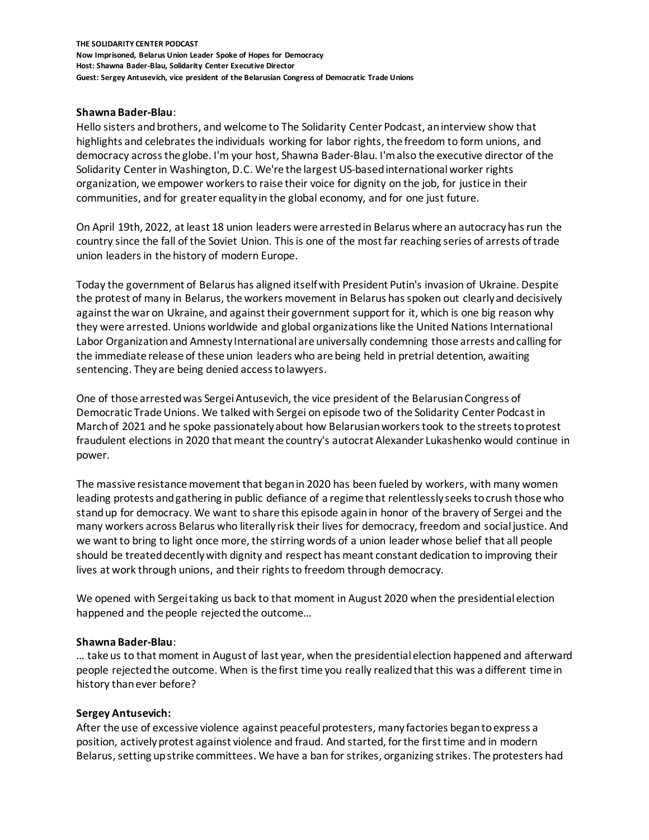## **Shawna Bader-Blau**:

Hello sisters and brothers, and welcome to The Solidarity Center Podcast, an interview show that highlights and celebrates the individuals working for labor rights, the freedom to form unions, and democracy across the globe. I'm your host, Shawna Bader-Blau. I'm also the executive director of the Solidarity Center in Washington, D.C. We're the largest US-based international worker rights organization, we empower workers to raise their voice for dignity on the job, for justice in their communities, and for greater equality in the global economy, and for one just future.

On April 19th, 2022, at least 18 union leaders were arrested in Belarus where an autocracy has run the country since the fall of the Soviet Union. This is one of the most far reaching series of arrests of trade union leaders in the history of modern Europe.

Today the government of Belarus has aligned itself with President Putin's invasion of Ukraine. Despite the protest of many in Belarus, the workers movement in Belarus has spoken out clearly and decisively against the war on Ukraine, and against their government support for it, which is one big reason why they were arrested. Unions worldwide and global organizations like the United Nations International Labor Organizationand Amnesty International are universally condemning those arrests and calling for the immediate release of these union leaders who are being held in pretrial detention, awaiting sentencing. They are being denied access to lawyers.

One of those arrested was Sergei Antusevich, the vice president of the Belarusian Congress of Democratic Trade Unions. We talked with Sergei on episode two of the Solidarity Center Podcast in March of 2021 and he spoke passionately about how Belarusian workers took to the streets to protest fraudulent elections in 2020 that meant the country's autocrat Alexander Lukashenko would continue in power.

The massive resistance movement that began in 2020 has been fueled by workers, with many women leading protests and gathering in public defiance of a regime that relentlessly seeks to crush those who stand up for democracy. We want to share this episode again in honor of the bravery of Sergei and the many workers across Belarus who literally risk their lives for democracy, freedom and social justice. And we want to bring to light once more, the stirring words of a union leader whose belief that all people should be treated decently with dignity and respect has meant constant dedication to improving their lives at work through unions, and their rights to freedom through democracy.

We opened with Sergei taking us back to that moment in August 2020 when the presidential election happened and the people rejected the outcome…

#### **Shawna Bader-Blau**:

… take us to that moment in August of last year, when the presidential election happened and afterward people rejected the outcome. When is the first time you really realized that this was a different time in history than ever before?

#### **Sergey Antusevich:**

After the use of excessive violence against peaceful protesters, many factories began to express a position, actively protest against violence and fraud. And started, for the first time and in modern Belarus, setting up strike committees. We have a ban for strikes, organizing strikes. The protesters had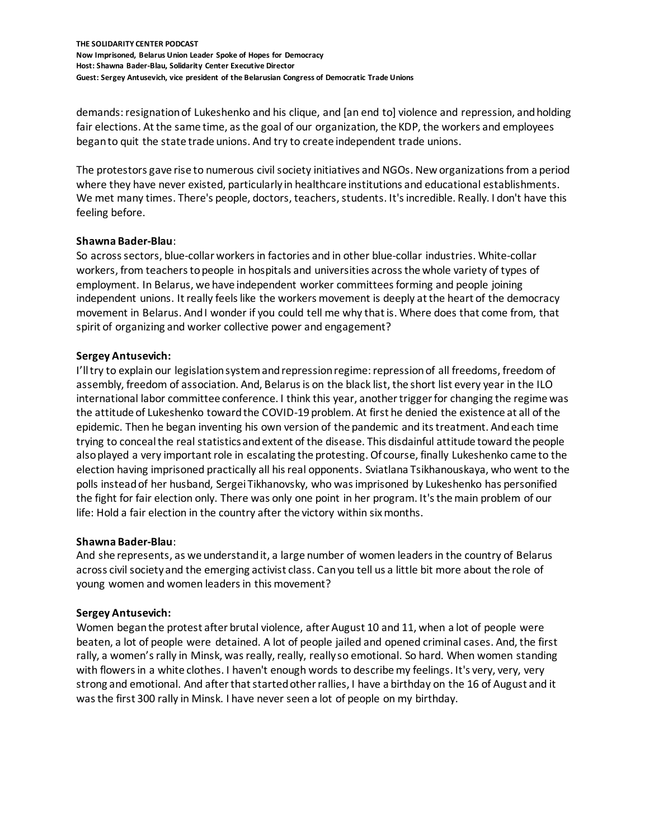demands: resignation of Lukeshenko and his clique, and [an end to] violence and repression, and holding fair elections. At the same time, as the goal of our organization, the KDP, the workers and employees began to quit the state trade unions. And try to create independent trade unions.

The protestors gave rise to numerous civil society initiatives and NGOs. New organizations from a period where they have never existed, particularly in healthcare institutions and educational establishments. We met many times. There's people, doctors, teachers, students. It's incredible. Really. I don't have this feeling before.

# **Shawna Bader-Blau**:

So across sectors, blue-collar workers in factories and in other blue-collar industries. White-collar workers, from teachers to people in hospitals and universities across the whole variety of types of employment. In Belarus, we have independent worker committees forming and people joining independent unions. It really feels like the workers movement is deeply at the heart of the democracy movement in Belarus. And I wonder if you could tell me why that is. Where does that come from, that spirit of organizing and worker collective power and engagement?

## **Sergey Antusevich:**

I'll try to explain our legislation system and repression regime: repression of all freedoms, freedom of assembly, freedom of association. And, Belarus is on the black list, the short list every year in the ILO international labor committee conference. I think this year, another trigger for changing the regime was the attitude of Lukeshenko toward the COVID-19 problem. At first he denied the existence at all of the epidemic. Then he began inventing his own version of the pandemic and its treatment. And each time trying to conceal the real statistics and extent of the disease. This disdainful attitude toward the people also played a very important role in escalating the protesting. Of course, finally Lukeshenko came to the election having imprisoned practically all his real opponents. Sviatlana Tsikhanouskaya, who went to the polls instead of her husband, Sergei Tikhanovsky, who was imprisoned by Lukeshenko has personified the fight for fair election only. There was only one point in her program. It's the main problem of our life: Hold a fair election in the country after the victory within six months.

#### **Shawna Bader-Blau**:

And she represents, as we understand it, a large number of women leaders in the country of Belarus across civil society and the emerging activist class. Can you tell us a little bit more about the role of young women and women leaders in this movement?

# **Sergey Antusevich:**

Women began the protest after brutal violence, after August 10 and 11, when a lot of people were beaten, a lot of people were detained. A lot of people jailed and opened criminal cases. And, the first rally, a women's rally in Minsk, was really, really, really so emotional. So hard. When women standing with flowers in a white clothes. I haven't enough words to describe my feelings. It's very, very, very strong and emotional. And after that started other rallies, I have a birthday on the 16 of August and it was the first 300 rally in Minsk. I have never seen a lot of people on my birthday.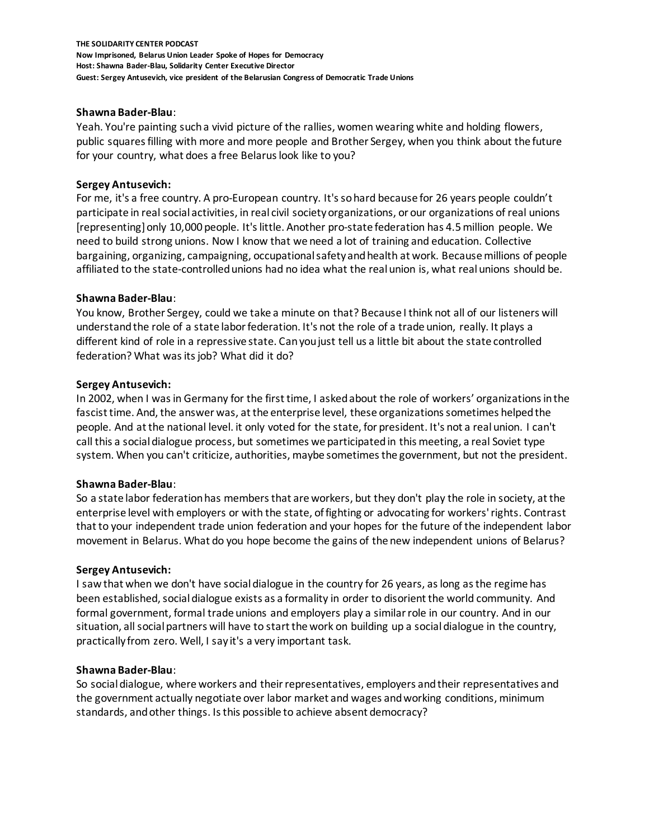## **Shawna Bader-Blau**:

Yeah. You're painting such a vivid picture of the rallies, women wearing white and holding flowers, public squares filling with more and more people and Brother Sergey, when you think about the future for your country, what does a free Belarus look like to you?

## **Sergey Antusevich:**

For me, it's a free country. A pro-European country. It's so hard because for 26 years people couldn't participate in real social activities, in real civil society organizations, or our organizations of real unions [representing] only 10,000 people. It's little. Another pro-state federation has 4.5million people. We need to build strong unions. Now I know that we need a lot of training and education. Collective bargaining, organizing, campaigning, occupational safety and health at work. Because millions of people affiliated to the state-controlled unions had no idea what the real union is, what real unions should be.

## **Shawna Bader-Blau**:

You know, Brother Sergey, could we take a minute on that? Because I think not all of our listeners will understand the role of a state labor federation. It's not the role of a trade union, really. It plays a different kind of role in a repressive state. Can you just tell us a little bit about the state controlled federation? What was its job? What did it do?

## **Sergey Antusevich:**

In 2002, when I was in Germany for the first time, I asked about the role of workers' organizations in the fascist time. And, the answer was, at the enterprise level, these organizations sometimes helped the people. And at the national level. it only voted for the state, for president. It's not a real union. I can't call this a social dialogue process, but sometimes we participated in this meeting, a real Soviet type system. When you can't criticize, authorities, maybe sometimes the government, but not the president.

#### **Shawna Bader-Blau**:

So a state labor federation has members that are workers, but they don't play the role in society, at the enterprise level with employers or with the state, of fighting or advocating for workers' rights. Contrast that to your independent trade union federation and your hopes for the future of the independent labor movement in Belarus. What do you hope become the gains of the new independent unions of Belarus?

#### **Sergey Antusevich:**

I saw that when we don't have social dialogue in the country for 26 years, as long as the regime has been established, social dialogue exists as a formality in order to disorient the world community. And formal government, formal trade unions and employers play a similar role in our country. And in our situation, all social partners will have to start the work on building up a social dialogue in the country, practically from zero. Well, I say it's a very important task.

#### **Shawna Bader-Blau**:

So social dialogue, where workers and their representatives, employers and their representatives and the government actually negotiate over labor market and wages and working conditions, minimum standards, and other things. Is this possible to achieve absent democracy?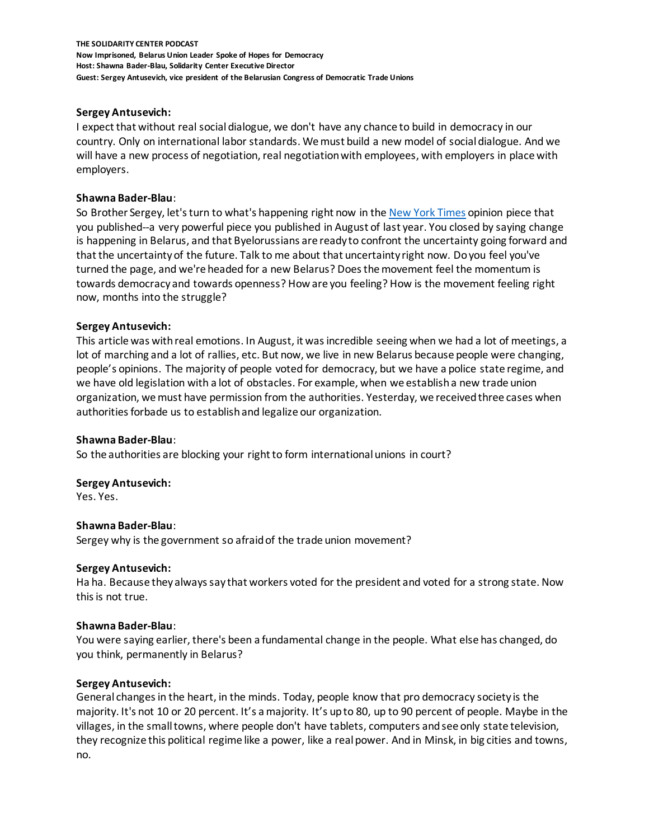## **Sergey Antusevich:**

I expect that without real social dialogue, we don't have any chance to build in democracy in our country. Only on international labor standards. We must build a new model of social dialogue. And we will have a new process of negotiation, real negotiation with employees, with employers in place with employers.

### **Shawna Bader-Blau**:

So Brother Sergey, let's turn to what's happening right now in the [New York Times](https://www.nytimes.com/2020/08/20/opinion/belarus-strikes-workers.html) opinion piece that you published--a very powerful piece you published in August of last year. You closed by saying change is happening in Belarus, and that Byelorussians are ready to confront the uncertainty going forward and that the uncertainty of the future. Talk to me about that uncertainty right now. Do you feel you've turned the page, and we're headed for a new Belarus? Does the movement feel the momentum is towards democracy and towards openness? How are you feeling? How is the movement feeling right now, months into the struggle?

## **Sergey Antusevich:**

This article was with real emotions. In August, it was incredible seeing when we had a lot of meetings, a lot of marching and a lot of rallies, etc. But now, we live in new Belarus because people were changing, people's opinions. The majority of people voted for democracy, but we have a police state regime, and we have old legislation with a lot of obstacles. For example, when we establish a new trade union organization, we must have permission from the authorities. Yesterday, we received three cases when authorities forbade us to establish and legalize our organization.

#### **Shawna Bader-Blau**:

So the authorities are blocking your right to form international unions in court?

#### **Sergey Antusevich:**

Yes. Yes.

# **Shawna Bader-Blau**:

Sergey why is the government so afraid of the trade union movement?

#### **Sergey Antusevich:**

Ha ha. Because they always say that workers voted for the president and voted for a strong state. Now this is not true.

#### **Shawna Bader-Blau**:

You were saying earlier, there's been a fundamental change in the people. What else has changed, do you think, permanently in Belarus?

#### **Sergey Antusevich:**

General changes in the heart, in the minds. Today, people know that pro democracy society is the majority. It's not 10 or 20 percent. It's a majority. It's up to 80, up to 90 percent of people. Maybe in the villages, in the small towns, where people don't have tablets, computers and see only state television, they recognize this political regime like a power, like a real power. And in Minsk, in big cities and towns, no.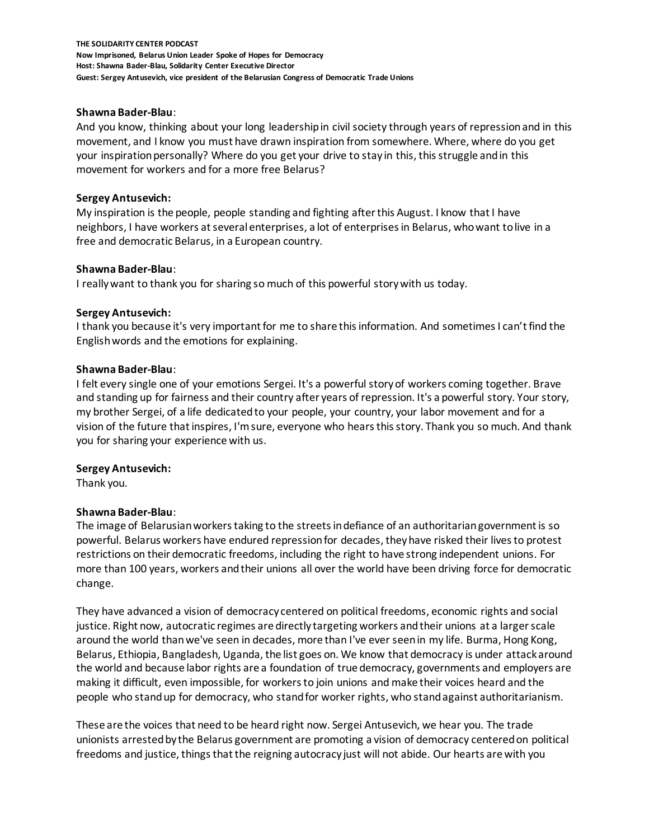### **Shawna Bader-Blau**:

And you know, thinking about your long leadership in civil society through years of repression and in this movement, and I know you must have drawn inspiration from somewhere. Where, where do you get your inspiration personally? Where do you get your drive to stay in this, this struggle and in this movement for workers and for a more free Belarus?

## **Sergey Antusevich:**

My inspiration is the people, people standing and fighting after this August. I know that I have neighbors, I have workers at several enterprises, a lot of enterprises in Belarus, who want to live in a free and democratic Belarus, in a European country.

## **Shawna Bader-Blau**:

I really want to thank you for sharing so much of this powerful story with us today.

## **Sergey Antusevich:**

I thank you because it's very important for me to share this information. And sometimes I can't find the English words and the emotions for explaining.

## **Shawna Bader-Blau**:

I felt every single one of your emotions Sergei. It's a powerful story of workers coming together. Brave and standing up for fairness and their country after years of repression. It's a powerful story. Your story, my brother Sergei, of a life dedicated to your people, your country, your labor movement and for a vision of the future that inspires, I'm sure, everyone who hears this story. Thank you so much. And thank you for sharing your experience with us.

#### **Sergey Antusevich:**

Thank you.

# **Shawna Bader-Blau**:

The image of Belarusian workers taking to the streets in defiance of an authoritarian government is so powerful. Belarus workers have endured repression for decades, they have risked their lives to protest restrictions on their democratic freedoms, including the right to have strong independent unions. For more than 100 years, workers and their unions all over the world have been driving force for democratic change.

They have advanced a vision of democracy centered on political freedoms, economic rights and social justice. Right now, autocratic regimes are directly targeting workers and their unions at a larger scale around the world than we've seen in decades, more than I've ever seen in my life. Burma, Hong Kong, Belarus, Ethiopia, Bangladesh, Uganda, the list goes on. We know that democracy is under attack around the world and because labor rights are a foundation of true democracy, governments and employers are making it difficult, even impossible, for workers to join unions and make their voices heard and the people who stand up for democracy, who stand for worker rights, who stand against authoritarianism.

These are the voices that need to be heard right now. Sergei Antusevich, we hear you. The trade unionists arrested by the Belarus government are promoting a vision of democracy centered on political freedoms and justice, things that the reigning autocracy just will not abide. Our hearts are with you